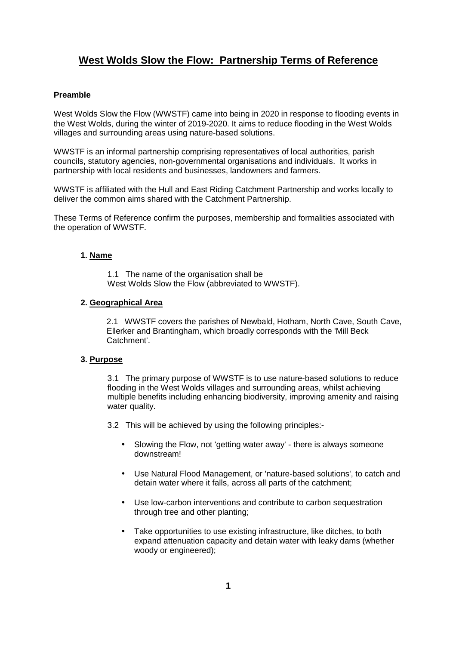## **Preamble**

West Wolds Slow the Flow (WWSTF) came into being in 2020 in response to flooding events in the West Wolds, during the winter of 2019-2020. It aims to reduce flooding in the West Wolds villages and surrounding areas using nature-based solutions.

WWSTF is an informal partnership comprising representatives of local authorities, parish councils, statutory agencies, non-governmental organisations and individuals. It works in partnership with local residents and businesses, landowners and farmers.

WWSTF is affiliated with the Hull and East Riding Catchment Partnership and works locally to deliver the common aims shared with the Catchment Partnership.

These Terms of Reference confirm the purposes, membership and formalities associated with the operation of WWSTF.

## **1. Name**

1.1 The name of the organisation shall be West Wolds Slow the Flow (abbreviated to WWSTF).

### **2. Geographical Area**

2.1 WWSTF covers the parishes of Newbald, Hotham, North Cave, South Cave, Ellerker and Brantingham, which broadly corresponds with the 'Mill Beck Catchment'.

### **3. Purpose**

3.1 The primary purpose of WWSTF is to use nature-based solutions to reduce flooding in the West Wolds villages and surrounding areas, whilst achieving multiple benefits including enhancing biodiversity, improving amenity and raising water quality.

3.2 This will be achieved by using the following principles:-

- Slowing the Flow, not 'getting water away' there is always someone downstream!
- Use Natural Flood Management, or 'nature-based solutions', to catch and detain water where it falls, across all parts of the catchment;
- Use low-carbon interventions and contribute to carbon sequestration through tree and other planting;
- Take opportunities to use existing infrastructure, like ditches, to both expand attenuation capacity and detain water with leaky dams (whether woody or engineered):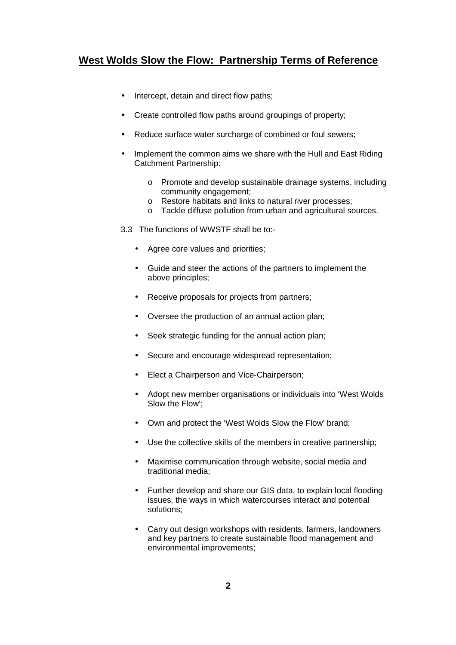- Intercept, detain and direct flow paths;
- Create controlled flow paths around groupings of property;
- Reduce surface water surcharge of combined or foul sewers;
- Implement the common aims we share with the Hull and East Riding Catchment Partnership:
	- o Promote and develop sustainable drainage systems, including community engagement;
	- o Restore habitats and links to natural river processes;
	- o Tackle diffuse pollution from urban and agricultural sources.
- 3.3 The functions of WWSTF shall be to:-
	- Agree core values and priorities;
	- Guide and steer the actions of the partners to implement the above principles;
	- Receive proposals for projects from partners;
	- Oversee the production of an annual action plan;
	- Seek strategic funding for the annual action plan;
	- Secure and encourage widespread representation;
	- Elect a Chairperson and Vice-Chairperson;
	- Adopt new member organisations or individuals into 'West Wolds Slow the Flow';
	- Own and protect the 'West Wolds Slow the Flow' brand;
	- Use the collective skills of the members in creative partnership;
	- Maximise communication through website, social media and traditional media;
	- Further develop and share our GIS data, to explain local flooding issues, the ways in which watercourses interact and potential solutions;
	- Carry out design workshops with residents, farmers, landowners and key partners to create sustainable flood management and environmental improvements;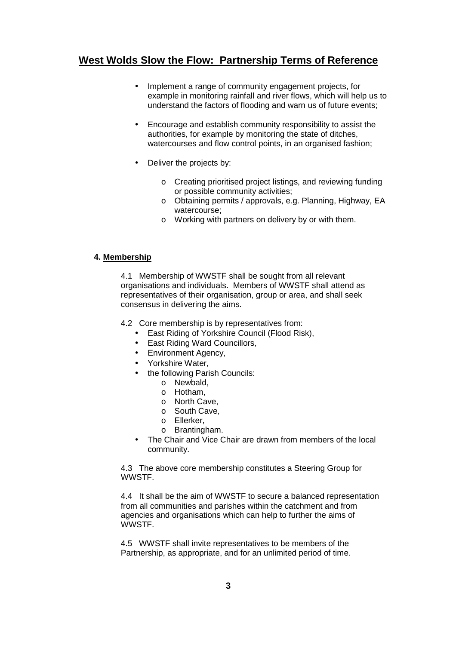- Implement a range of community engagement projects, for example in monitoring rainfall and river flows, which will help us to understand the factors of flooding and warn us of future events;
- Encourage and establish community responsibility to assist the authorities, for example by monitoring the state of ditches, watercourses and flow control points, in an organised fashion;
- Deliver the projects by:
	- o Creating prioritised project listings, and reviewing funding or possible community activities;
	- o Obtaining permits / approvals, e.g. Planning, Highway, EA watercourse;
	- o Working with partners on delivery by or with them.

## **4. Membership**

4.1 Membership of WWSTF shall be sought from all relevant organisations and individuals. Members of WWSTF shall attend as representatives of their organisation, group or area, and shall seek consensus in delivering the aims.

4.2 Core membership is by representatives from:

- East Riding of Yorkshire Council (Flood Risk),
- East Riding Ward Councillors,
- Environment Agency,
- Yorkshire Water,
- the following Parish Councils:
	- o Newbald,
	- o Hotham,
	- o North Cave,
	- o South Cave,
	- o Ellerker,
	- o Brantingham.
- The Chair and Vice Chair are drawn from members of the local community.

4.3 The above core membership constitutes a Steering Group for **WWSTF.** 

4.4 It shall be the aim of WWSTF to secure a balanced representation from all communities and parishes within the catchment and from agencies and organisations which can help to further the aims of WWSTF.

4.5 WWSTF shall invite representatives to be members of the Partnership, as appropriate, and for an unlimited period of time.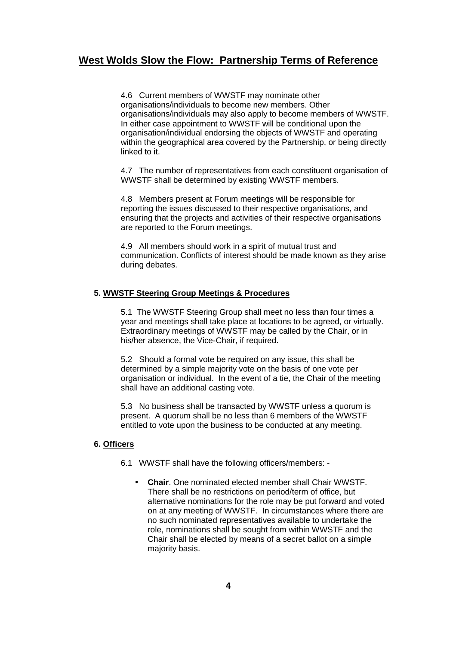4.6 Current members of WWSTF may nominate other organisations/individuals to become new members. Other organisations/individuals may also apply to become members of WWSTF. In either case appointment to WWSTF will be conditional upon the organisation/individual endorsing the objects of WWSTF and operating within the geographical area covered by the Partnership, or being directly linked to it.

4.7 The number of representatives from each constituent organisation of WWSTF shall be determined by existing WWSTF members.

4.8 Members present at Forum meetings will be responsible for reporting the issues discussed to their respective organisations, and ensuring that the projects and activities of their respective organisations are reported to the Forum meetings.

4.9 All members should work in a spirit of mutual trust and communication. Conflicts of interest should be made known as they arise during debates.

### **5. WWSTF Steering Group Meetings & Procedures**

5.1 The WWSTF Steering Group shall meet no less than four times a year and meetings shall take place at locations to be agreed, or virtually. Extraordinary meetings of WWSTF may be called by the Chair, or in his/her absence, the Vice-Chair, if required.

5.2 Should a formal vote be required on any issue, this shall be determined by a simple majority vote on the basis of one vote per organisation or individual. In the event of a tie, the Chair of the meeting shall have an additional casting vote.

5.3 No business shall be transacted by WWSTF unless a quorum is present. A quorum shall be no less than 6 members of the WWSTF entitled to vote upon the business to be conducted at any meeting.

#### **6. Officers**

6.1 WWSTF shall have the following officers/members: -

• **Chair**. One nominated elected member shall Chair WWSTF. There shall be no restrictions on period/term of office, but alternative nominations for the role may be put forward and voted on at any meeting of WWSTF. In circumstances where there are no such nominated representatives available to undertake the role, nominations shall be sought from within WWSTF and the Chair shall be elected by means of a secret ballot on a simple majority basis.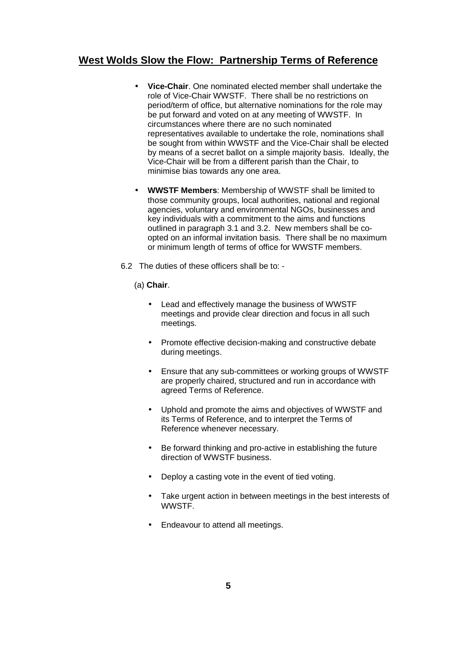- **Vice-Chair**. One nominated elected member shall undertake the role of Vice-Chair WWSTF. There shall be no restrictions on period/term of office, but alternative nominations for the role may be put forward and voted on at any meeting of WWSTF. In circumstances where there are no such nominated representatives available to undertake the role, nominations shall be sought from within WWSTF and the Vice-Chair shall be elected by means of a secret ballot on a simple majority basis. Ideally, the Vice-Chair will be from a different parish than the Chair, to minimise bias towards any one area.
- **WWSTF Members**: Membership of WWSTF shall be limited to those community groups, local authorities, national and regional agencies, voluntary and environmental NGOs, businesses and key individuals with a commitment to the aims and functions outlined in paragraph 3.1 and 3.2. New members shall be coopted on an informal invitation basis. There shall be no maximum or minimum length of terms of office for WWSTF members.
- 6.2 The duties of these officers shall be to:
	- (a) **Chair**.
		- Lead and effectively manage the business of WWSTF meetings and provide clear direction and focus in all such meetings.
		- Promote effective decision-making and constructive debate during meetings.
		- Ensure that any sub-committees or working groups of WWSTF are properly chaired, structured and run in accordance with agreed Terms of Reference.
		- Uphold and promote the aims and objectives of WWSTF and its Terms of Reference, and to interpret the Terms of Reference whenever necessary.
		- Be forward thinking and pro-active in establishing the future direction of WWSTF business.
		- Deploy a casting vote in the event of tied voting.
		- Take urgent action in between meetings in the best interests of WWSTF.
		- Endeavour to attend all meetings.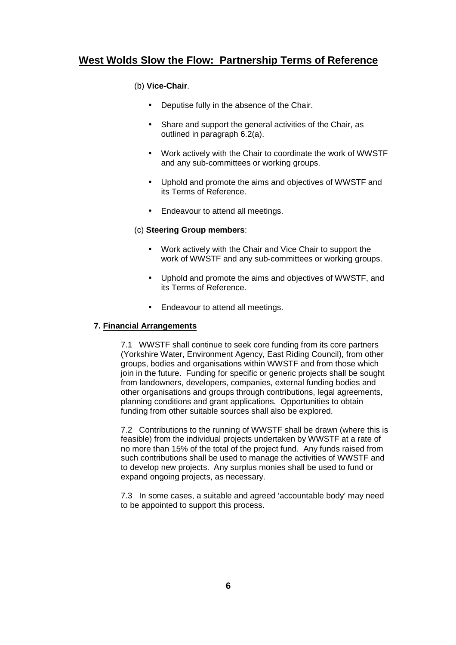## (b) **Vice-Chair**.

- Deputise fully in the absence of the Chair.
- Share and support the general activities of the Chair, as outlined in paragraph 6.2(a).
- Work actively with the Chair to coordinate the work of WWSTF and any sub-committees or working groups.
- Uphold and promote the aims and objectives of WWSTF and its Terms of Reference.
- Endeavour to attend all meetings.

## (c) **Steering Group members**:

- Work actively with the Chair and Vice Chair to support the work of WWSTF and any sub-committees or working groups.
- Uphold and promote the aims and objectives of WWSTF, and its Terms of Reference.
- Endeavour to attend all meetings.

## **7. Financial Arrangements**

7.1 WWSTF shall continue to seek core funding from its core partners (Yorkshire Water, Environment Agency, East Riding Council), from other groups, bodies and organisations within WWSTF and from those which join in the future. Funding for specific or generic projects shall be sought from landowners, developers, companies, external funding bodies and other organisations and groups through contributions, legal agreements, planning conditions and grant applications. Opportunities to obtain funding from other suitable sources shall also be explored.

7.2 Contributions to the running of WWSTF shall be drawn (where this is feasible) from the individual projects undertaken by WWSTF at a rate of no more than 15% of the total of the project fund. Any funds raised from such contributions shall be used to manage the activities of WWSTF and to develop new projects. Any surplus monies shall be used to fund or expand ongoing projects, as necessary.

7.3 In some cases, a suitable and agreed 'accountable body' may need to be appointed to support this process.